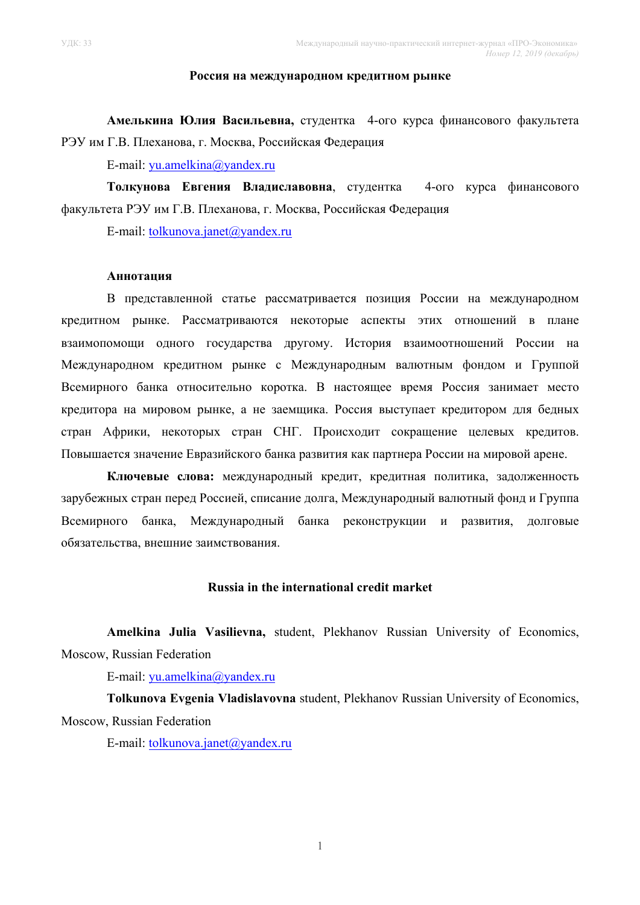#### **Россия на международном кредитном рынке**

**Амелькина Юлия Васильевна,** студентка 4-ого курса финансового факультета РЭУ им Г.В. Плеханова, г. Москва, Российская Федерация

E-mail: yu.amelkina@yandex.ru

**Толкунова Евгения Владиславовна**, студентка 4-ого курса финансового факультета РЭУ им Г.В. Плеханова, г. Москва, Российская Федерация

E-mail: tolkunova.janet@yandex.ru

## **Аннотация**

В представленной статье рассматривается позиция России на международном кредитном рынке. Рассматриваются некоторые аспекты этих отношений в плане взаимопомощи одного государства другому. История взаимоотношений России на Международном кредитном рынке с Международным валютным фондом и Группой Всемирного банка относительно коротка. В настоящее время Россия занимает место кредитора на мировом рынке, а не заемщика. Россия выступает кредитором для бедных стран Африки, некоторых стран СНГ. Происходит сокращение целевых кредитов. Повышается значение Евразийского банка развития как партнера России на мировой арене.

**Ключевые слова:** международный кредит, кредитная политика, задолженность зарубежных стран перед Россией, списание долга, Международный валютный фонд и Группа Всемирного банка, Международный банка реконструкции и развития, долговые обязательства, внешние заимствования.

### **Russia in the international credit market**

**Amelkina Julia Vasilievna,** student, Plekhanov Russian University of Economics, Moscow, Russian Federation

E-mail: yu.amelkina@yandex.ru

**Tolkunova Evgenia Vladislavovna** student, Plekhanov Russian University of Economics, Moscow, Russian Federation

E-mail: tolkunova.janet@yandex.ru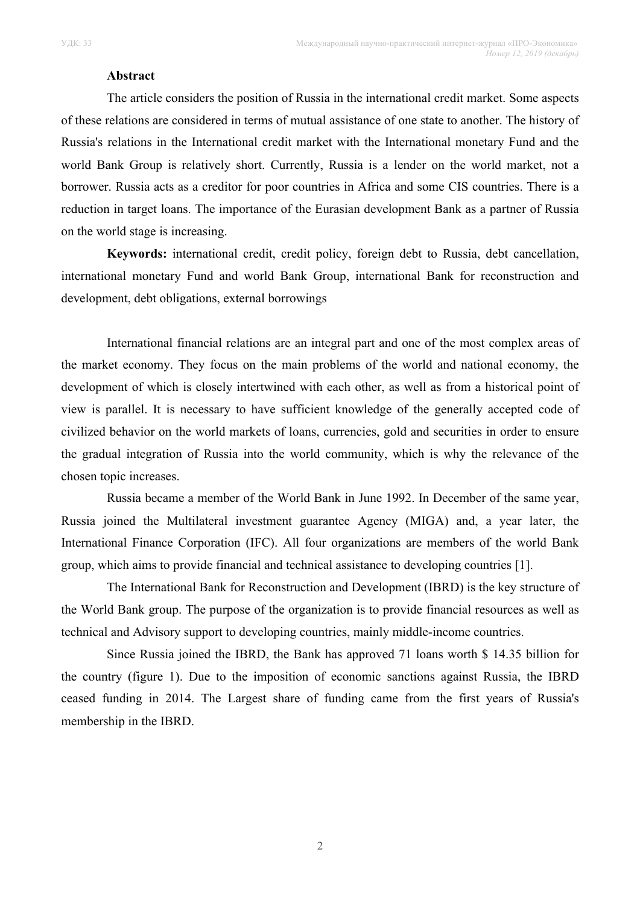### **Abstract**

The article considers the position of Russia in the international credit market. Some aspects of these relations are considered in terms of mutual assistance of one state to another. The history of Russia's relations in the International credit market with the International monetary Fund and the world Bank Group is relatively short. Currently, Russia is a lender on the world market, not a borrower. Russia acts as a creditor for poor countries in Africa and some CIS countries. There is a reduction in target loans. The importance of the Eurasian development Bank as a partner of Russia on the world stage is increasing.

**Keywords:** international credit, credit policy, foreign debt to Russia, debt cancellation, international monetary Fund and world Bank Group, international Bank for reconstruction and development, debt obligations, external borrowings

International financial relations are an integral part and one of the most complex areas of the market economy. They focus on the main problems of the world and national economy, the development of which is closely intertwined with each other, as well as from a historical point of view is parallel. It is necessary to have sufficient knowledge of the generally accepted code of civilized behavior on the world markets of loans, currencies, gold and securities in order to ensure the gradual integration of Russia into the world community, which is why the relevance of the chosen topic increases.

Russia became a member of the World Bank in June 1992. In December of the same year, Russia joined the Multilateral investment guarantee Agency (MIGA) and, a year later, the International Finance Corporation (IFC). All four organizations are members of the world Bank group, which aims to provide financial and technical assistance to developing countries [1].

The International Bank for Reconstruction and Development (IBRD) is the key structure of the World Bank group. The purpose of the organization is to provide financial resources as well as technical and Advisory support to developing countries, mainly middle-income countries.

Since Russia joined the IBRD, the Bank has approved 71 loans worth \$ 14.35 billion for the country (figure 1). Due to the imposition of economic sanctions against Russia, the IBRD ceased funding in 2014. The Largest share of funding came from the first years of Russia's membership in the IBRD.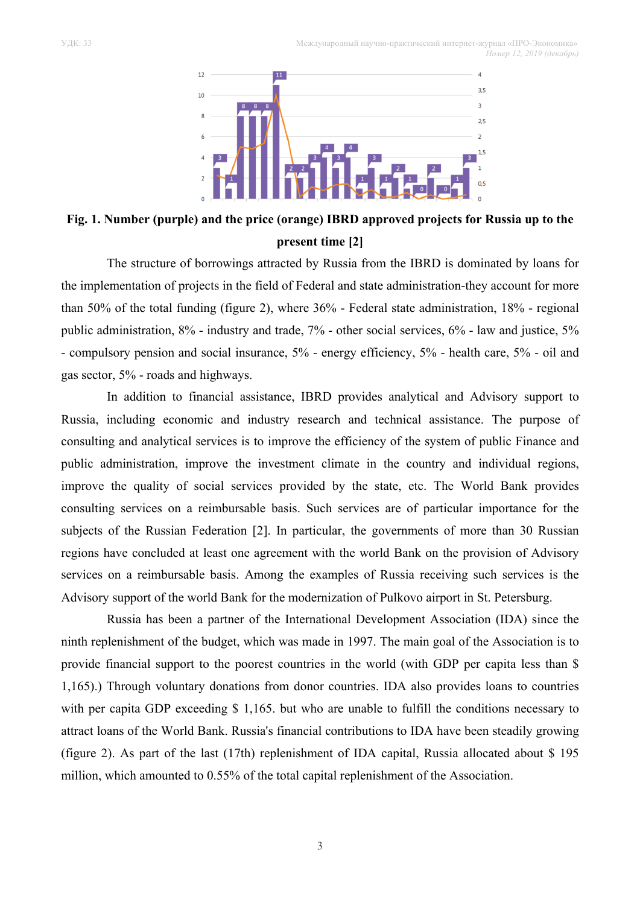УДК: 33 Международный научно-практический интернет-журнал «ПРО-Экономика»  *Номер 12, 2019 (декабрь)*



**Fig. 1. Number (purple) and the price (orange) IBRD approved projects for Russia up to the present time [2]**

The structure of borrowings attracted by Russia from the IBRD is dominated by loans for the implementation of projects in the field of Federal and state administration-they account for more than 50% of the total funding (figure 2), where 36% - Federal state administration, 18% - regional public administration, 8% - industry and trade, 7% - other social services, 6% - law and justice, 5% - compulsory pension and social insurance, 5% - energy efficiency, 5% - health care, 5% - oil and gas sector, 5% - roads and highways.

In addition to financial assistance, IBRD provides analytical and Advisory support to Russia, including economic and industry research and technical assistance. The purpose of consulting and analytical services is to improve the efficiency of the system of public Finance and public administration, improve the investment climate in the country and individual regions, improve the quality of social services provided by the state, etc. The World Bank provides consulting services on a reimbursable basis. Such services are of particular importance for the subjects of the Russian Federation [2]. In particular, the governments of more than 30 Russian regions have concluded at least one agreement with the world Bank on the provision of Advisory services on a reimbursable basis. Among the examples of Russia receiving such services is the Advisory support of the world Bank for the modernization of Pulkovo airport in St. Petersburg.

Russia has been a partner of the International Development Association (IDA) since the ninth replenishment of the budget, which was made in 1997. The main goal of the Association is to provide financial support to the poorest countries in the world (with GDP per capita less than \$ 1,165).) Through voluntary donations from donor countries. IDA also provides loans to countries with per capita GDP exceeding \$1,165. but who are unable to fulfill the conditions necessary to attract loans of the World Bank. Russia's financial contributions to IDA have been steadily growing (figure 2). As part of the last (17th) replenishment of IDA capital, Russia allocated about \$ 195 million, which amounted to 0.55% of the total capital replenishment of the Association.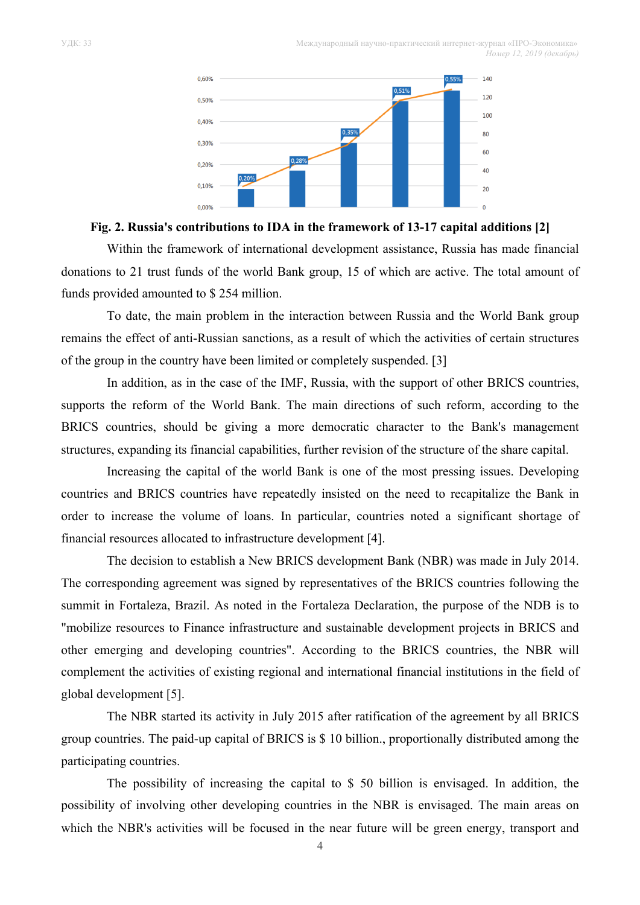

### **Fig. 2. Russia's contributions to IDA in the framework of 13-17 capital additions [2]**

Within the framework of international development assistance, Russia has made financial donations to 21 trust funds of the world Bank group, 15 of which are active. The total amount of funds provided amounted to \$ 254 million.

To date, the main problem in the interaction between Russia and the World Bank group remains the effect of anti-Russian sanctions, as a result of which the activities of certain structures of the group in the country have been limited or completely suspended. [3]

In addition, as in the case of the IMF, Russia, with the support of other BRICS countries, supports the reform of the World Bank. The main directions of such reform, according to the BRICS countries, should be giving a more democratic character to the Bank's management structures, expanding its financial capabilities, further revision of the structure of the share capital.

Increasing the capital of the world Bank is one of the most pressing issues. Developing countries and BRICS countries have repeatedly insisted on the need to recapitalize the Bank in order to increase the volume of loans. In particular, countries noted a significant shortage of financial resources allocated to infrastructure development [4].

The decision to establish a New BRICS development Bank (NBR) was made in July 2014. The corresponding agreement was signed by representatives of the BRICS countries following the summit in Fortaleza, Brazil. As noted in the Fortaleza Declaration, the purpose of the NDB is to "mobilize resources to Finance infrastructure and sustainable development projects in BRICS and other emerging and developing countries". According to the BRICS countries, the NBR will complement the activities of existing regional and international financial institutions in the field of global development [5].

The NBR started its activity in July 2015 after ratification of the agreement by all BRICS group countries. The paid-up capital of BRICS is \$ 10 billion., proportionally distributed among the participating countries.

The possibility of increasing the capital to \$ 50 billion is envisaged. In addition, the possibility of involving other developing countries in the NBR is envisaged. The main areas on which the NBR's activities will be focused in the near future will be green energy, transport and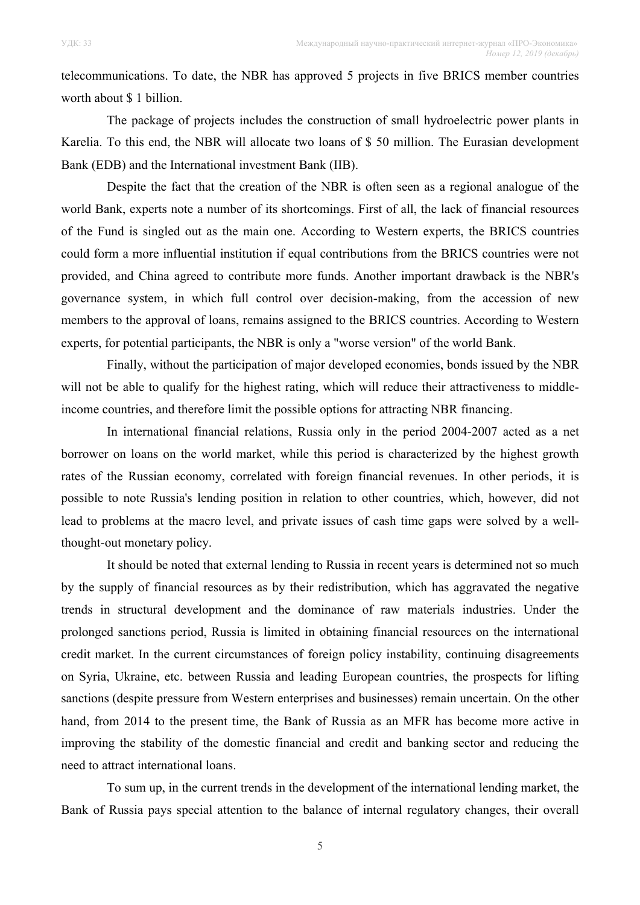telecommunications. To date, the NBR has approved 5 projects in five BRICS member countries worth about \$ 1 billion.

The package of projects includes the construction of small hydroelectric power plants in Karelia. To this end, the NBR will allocate two loans of \$ 50 million. The Eurasian development Bank (EDB) and the International investment Bank (IIB).

Despite the fact that the creation of the NBR is often seen as a regional analogue of the world Bank, experts note a number of its shortcomings. First of all, the lack of financial resources of the Fund is singled out as the main one. According to Western experts, the BRICS countries could form a more influential institution if equal contributions from the BRICS countries were not provided, and China agreed to contribute more funds. Another important drawback is the NBR's governance system, in which full control over decision-making, from the accession of new members to the approval of loans, remains assigned to the BRICS countries. According to Western experts, for potential participants, the NBR is only a "worse version" of the world Bank.

Finally, without the participation of major developed economies, bonds issued by the NBR will not be able to qualify for the highest rating, which will reduce their attractiveness to middleincome countries, and therefore limit the possible options for attracting NBR financing.

In international financial relations, Russia only in the period 2004-2007 acted as a net borrower on loans on the world market, while this period is characterized by the highest growth rates of the Russian economy, correlated with foreign financial revenues. In other periods, it is possible to note Russia's lending position in relation to other countries, which, however, did not lead to problems at the macro level, and private issues of cash time gaps were solved by a wellthought-out monetary policy.

It should be noted that external lending to Russia in recent years is determined not so much by the supply of financial resources as by their redistribution, which has aggravated the negative trends in structural development and the dominance of raw materials industries. Under the prolonged sanctions period, Russia is limited in obtaining financial resources on the international credit market. In the current circumstances of foreign policy instability, continuing disagreements on Syria, Ukraine, etc. between Russia and leading European countries, the prospects for lifting sanctions (despite pressure from Western enterprises and businesses) remain uncertain. On the other hand, from 2014 to the present time, the Bank of Russia as an MFR has become more active in improving the stability of the domestic financial and credit and banking sector and reducing the need to attract international loans.

To sum up, in the current trends in the development of the international lending market, the Bank of Russia pays special attention to the balance of internal regulatory changes, their overall

5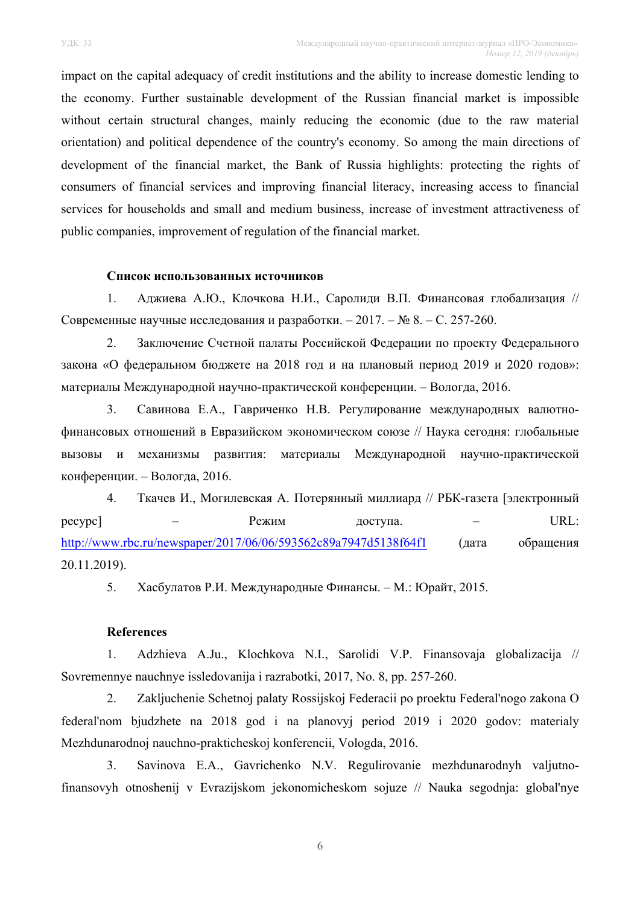impact on the capital adequacy of credit institutions and the ability to increase domestic lending to the economy. Further sustainable development of the Russian financial market is impossible without certain structural changes, mainly reducing the economic (due to the raw material orientation) and political dependence of the country's economy. So among the main directions of development of the financial market, the Bank of Russia highlights: protecting the rights of consumers of financial services and improving financial literacy, increasing access to financial services for households and small and medium business, increase of investment attractiveness of public companies, improvement of regulation of the financial market.

# **Список использованных источников**

1. Аджиева А.Ю., Клочкова Н.И., Саролиди В.П. Финансовая глобализация // Современные научные исследования и разработки. – 2017. – № 8. – С. 257-260.

2. Заключение Счетной палаты Российской Федерации по проекту Федерального закона «О федеральном бюджете на 2018 год и на плановый период 2019 и 2020 годов»: материалы Международной научно-практической конференции. – Вологда, 2016.

3. Савинова Е.А., Гавриченко Н.В. Регулирование международных валютнофинансовых отношений в Евразийском экономическом союзе // Наука сегодня: глобальные вызовы и механизмы развития: материалы Международной научно-практической конференции. – Вологда, 2016.

4. Ткачев И., Могилевская А. Потерянный миллиард // РБК-газета [электронный ресурс] – Режим доступа. – URL: http://www.rbc.ru/newspaper/2017/06/06/593562c89a7947d5138f64f1 (дата обращения 20.11.2019).

5. Хасбулатов Р.И. Международные Финансы. – М.: Юрайт, 2015.

#### **References**

1. Adzhieva A.Ju., Klochkova N.I., Sarolidi V.P. Finansovaja globalizacija // Sovremennye nauchnye issledovanija i razrabotki, 2017, No. 8, pp. 257-260.

2. Zakljuchenie Schetnoj palaty Rossijskoj Federacii po proektu Federal'nogo zakona O federal'nom bjudzhete na 2018 god i na planovyj period 2019 i 2020 godov: materialy Mezhdunarodnoj nauchno-prakticheskoj konferencii, Vologda, 2016.

3. Savinova E.A., Gavrichenko N.V. Regulirovanie mezhdunarodnyh valjutnofinansovyh otnoshenij v Evrazijskom jekonomicheskom sojuze // Nauka segodnja: global'nye

6